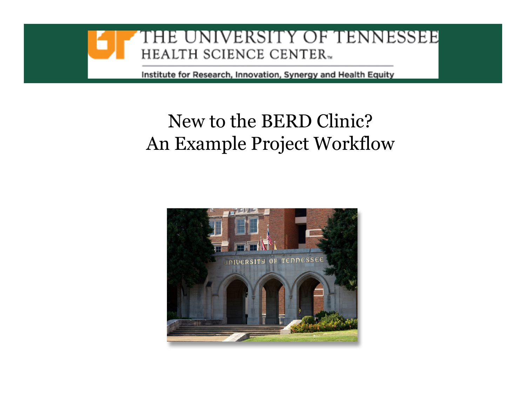

#### New to the BERD Clinic?An Example Project Workflow

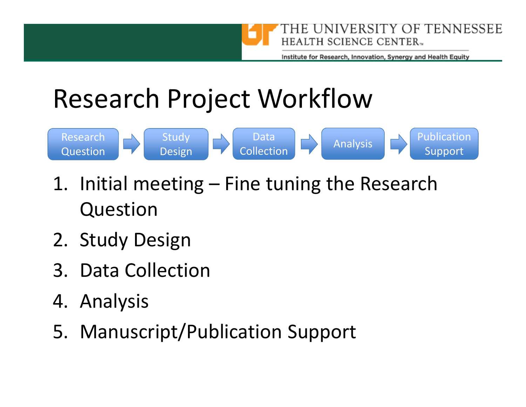

### Research Project Workflow



- 1. Initial meeting Fine tuning the Research Question
- 2. Study Design
- 3. Data Collection
- 4. Analysis
- 5. Manuscript/Publication Support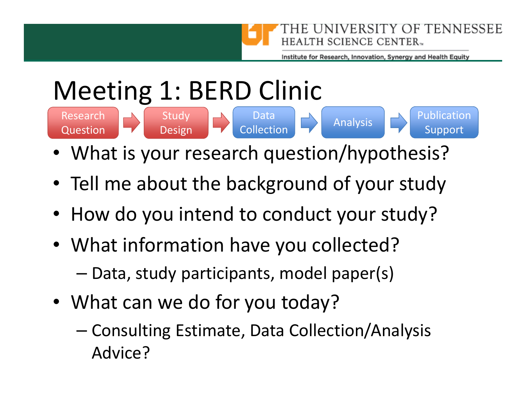

# Meeting 1: BERD Clinic



- •What is your research question/hypothesis?
- Tell me about the background of your study
- How do you intend to conduct your study?
- What information have you collected?
	- –Data, study participants, model paper(s)
- What can we do for you today?
	- – Consulting Estimate, Data Collection/Analysis Advice?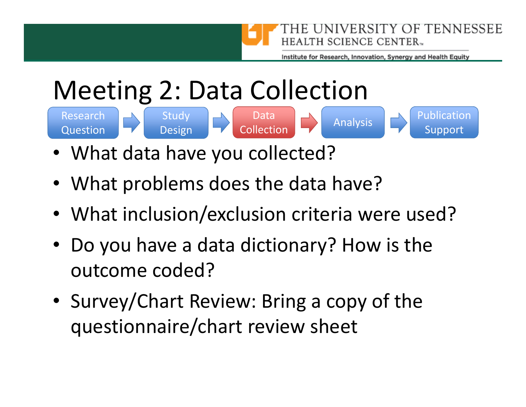

Analysis

## Meeting 2: Data Collection

Research Question





- •What data have you collected?
- What problems does the data have?
- What inclusion/exclusion criteria were used?
- Do you have a data dictionary? How is the outcome coded?
- Survey/Chart Review: Bring a copy of the questionnaire/chart review sheet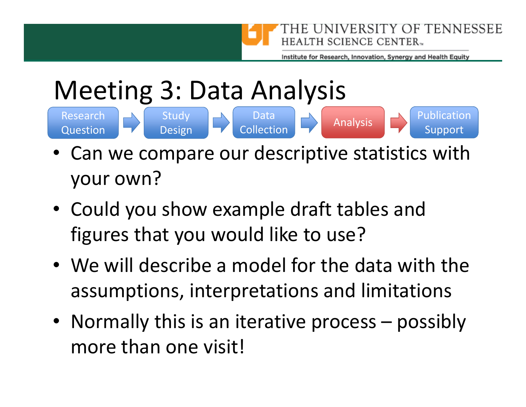

# Meeting 3: Data Analysis

- Research QuestionData **Collection** Study Data Data Design Design Collection Collection Analysis Design Support
- • Can we compare our descriptive statistics with your own?
- Could you show example draft tables and figures that you would like to use?
- We will describe a model for the data with the assumptions, interpretations and limitations
- Normally this is an iterative process possibly more than one visit!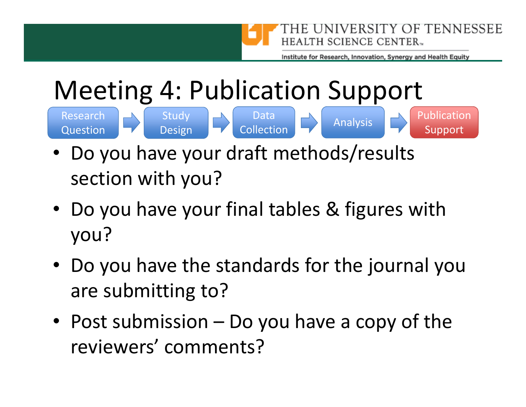

#### Meeting 4: Publication Support

Research **Question** 





- • Do you have your draft methods/results section with you?
- Do you have your final tables & figures with you?
- Do you have the standards for the journal you are submitting to?
- Post submission Do you have a copy of the reviewers' comments?